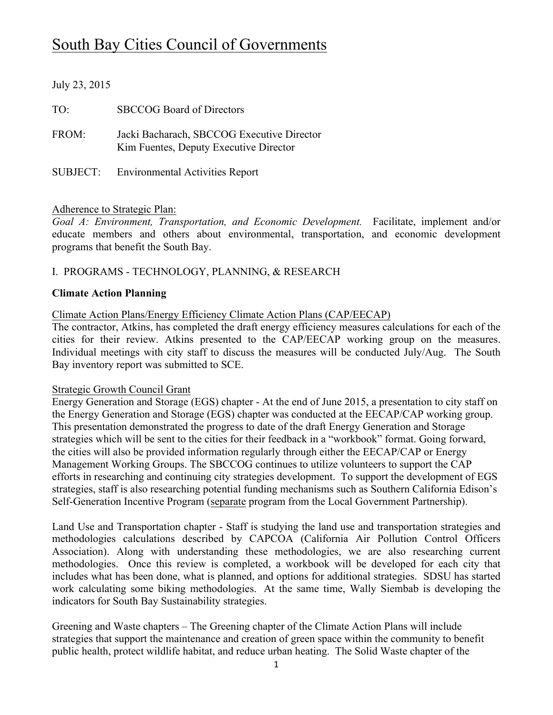# South Bay Cities Council of Governments

# July 23, 2015 TO: SBCCOG Board of Directors FROM: Jacki Bacharach, SBCCOG Executive Director Kim Fuentes, Deputy Executive Director SUBJECT: Environmental Activities Report

# Adherence to Strategic Plan:

*Goal A: Environment, Transportation, and Economic Development.* Facilitate, implement and/or educate members and others about environmental, transportation, and economic development programs that benefit the South Bay.

# I. PROGRAMS - TECHNOLOGY, PLANNING, & RESEARCH

#### **Climate Action Planning**

#### Climate Action Plans/Energy Efficiency Climate Action Plans (CAP/EECAP)

The contractor, Atkins, has completed the draft energy efficiency measures calculations for each of the cities for their review. Atkins presented to the CAP/EECAP working group on the measures. Individual meetings with city staff to discuss the measures will be conducted July/Aug. The South Bay inventory report was submitted to SCE.

#### Strategic Growth Council Grant

Energy Generation and Storage (EGS) chapter - At the end of June 2015, a presentation to city staff on the Energy Generation and Storage (EGS) chapter was conducted at the EECAP/CAP working group. This presentation demonstrated the progress to date of the draft Energy Generation and Storage strategies which will be sent to the cities for their feedback in a "workbook" format. Going forward, the cities will also be provided information regularly through either the EECAP/CAP or Energy Management Working Groups. The SBCCOG continues to utilize volunteers to support the CAP efforts in researching and continuing city strategies development. To support the development of EGS strategies, staff is also researching potential funding mechanisms such as Southern California Edison's Self-Generation Incentive Program (separate program from the Local Government Partnership).

Land Use and Transportation chapter - Staff is studying the land use and transportation strategies and methodologies calculations described by CAPCOA (California Air Pollution Control Officers Association). Along with understanding these methodologies, we are also researching current methodologies. Once this review is completed, a workbook will be developed for each city that includes what has been done, what is planned, and options for additional strategies. SDSU has started work calculating some biking methodologies. At the same time, Wally Siembab is developing the indicators for South Bay Sustainability strategies.

Greening and Waste chapters – The Greening chapter of the Climate Action Plans will include strategies that support the maintenance and creation of green space within the community to benefit public health, protect wildlife habitat, and reduce urban heating. The Solid Waste chapter of the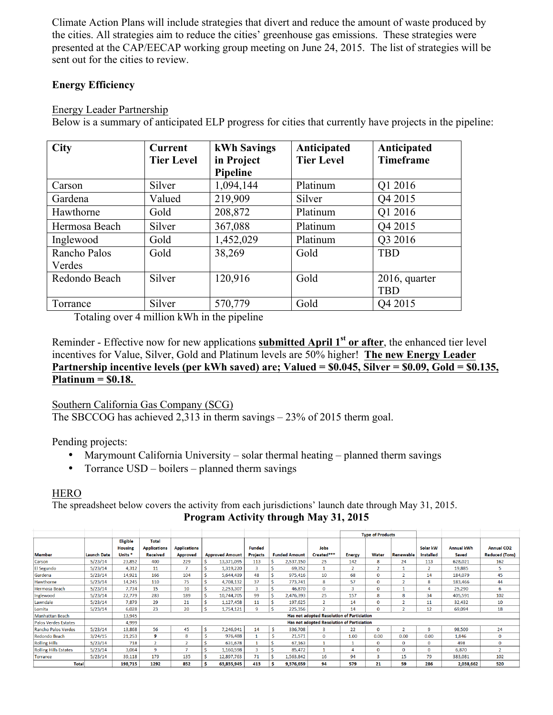Climate Action Plans will include strategies that divert and reduce the amount of waste produced by the cities. All strategies aim to reduce the cities' greenhouse gas emissions. These strategies were presented at the CAP/EECAP working group meeting on June 24, 2015. The list of strategies will be sent out for the cities to review.

# **Energy Efficiency**

# Energy Leader Partnership

Below is a summary of anticipated ELP progress for cities that currently have projects in the pipeline:

| <b>City</b>   | <b>Current</b>    | kWh Savings | Anticipated       | Anticipated         |  |  |  |
|---------------|-------------------|-------------|-------------------|---------------------|--|--|--|
|               | <b>Tier Level</b> | in Project  | <b>Tier Level</b> | <b>Timeframe</b>    |  |  |  |
|               |                   | Pipeline    |                   |                     |  |  |  |
| Carson        | Silver            | 1,094,144   | Platinum          | Q1 2016             |  |  |  |
| Gardena       | Valued            | 219,909     | Silver            | Q4 2015             |  |  |  |
| Hawthorne     | Gold              | 208,872     | Platinum          | Q1 2016             |  |  |  |
| Hermosa Beach | Silver            | 367,088     | Platinum          | Q4 2015             |  |  |  |
| Inglewood     | Gold              | 1,452,029   | Platinum          | Q3 2016             |  |  |  |
| Rancho Palos  | Gold              | 38,269      | Gold              | <b>TBD</b>          |  |  |  |
| Verdes        |                   |             |                   |                     |  |  |  |
| Redondo Beach | Silver            | 120,916     | Gold              | $2016$ , quarter    |  |  |  |
|               |                   |             |                   | <b>TBD</b>          |  |  |  |
| Torrance      | Silver            | 570,779     | Gold              | O <sub>4</sub> 2015 |  |  |  |

Totaling over 4 million kWh in the pipeline

Reminder - Effective now for new applications **submitted April 1st or after**, the enhanced tier level incentives for Value, Silver, Gold and Platinum levels are 50% higher! **The new Energy Leader Partnership incentive levels (per kWh saved) are; Valued = \$0.045, Silver = \$0.09, Gold = \$0.135, Platinum = \$0.18.**

Southern California Gas Company (SCG) The SBCCOG has achieved 2,313 in therm savings – 23% of 2015 therm goal.

Pending projects:

- Marymount California University solar thermal heating planned therm savings
- Torrance USD boilers planned therm savings

# **HERO**

The spreadsheet below covers the activity from each jurisdictions' launch date through May 31, 2015. **Program Activity through May 31, 2015**

|                              |                    |                    |                                            |                     |   |                        |                 |   |                      |                | <b>Type of Products</b> |              |                    |                   |                   |                       |
|------------------------------|--------------------|--------------------|--------------------------------------------|---------------------|---|------------------------|-----------------|---|----------------------|----------------|-------------------------|--------------|--------------------|-------------------|-------------------|-----------------------|
|                              |                    | <b>Eligible</b>    | <b>Total</b>                               |                     |   |                        |                 |   |                      |                |                         |              |                    |                   |                   |                       |
|                              |                    | <b>Housing</b>     | <b>Applications</b>                        | <b>Applications</b> |   |                        | <b>Funded</b>   |   |                      | Jobs           |                         |              |                    | Solar kW          | <b>Annual kWh</b> | <b>Annual CO2</b>     |
| Member                       | <b>Launch Date</b> | Units <sup>*</sup> | <b>Received</b>                            | <b>Approved</b>     |   | <b>Approved Amount</b> | <b>Projects</b> |   | <b>Funded Amount</b> | Created***     | <b>Energy</b>           | Water        | Renewable          | <b>Installed</b>  | Saved             | <b>Reduced (Tons)</b> |
| Carson                       | 5/23/14            | 23,852             | 400                                        | 229                 |   | 13,371,095             | 113             |   | 2.537.150            | 25             | 142                     | $\mathbf{R}$ | 24                 | 113               | 628,021           | 162                   |
| <b>El Segundo</b>            | 5/23/14            | 4.312              | 11                                         | $\mathbf{z}$        |   | 1,319,220              | 3               |   | 69.352               | $\mathbf{1}$   |                         | n.           |                    | $\mathbf{\hat{}}$ | 19,885            | 5                     |
| Gardena                      | 5/23/14            | 14.921             | 166                                        | 104                 |   | 5,644,439              | 48              |   | 975.416              | 10             | 68                      | 0            | <sup>2</sup>       | 14                | 184.079           | 45                    |
| Hawthorne                    | 5/23/14            | 14.245             | 110                                        | 75                  |   | 4.708.132              | 37              |   | 773.741              | 8              | 57                      | $\Omega$     | $\mathbf{\hat{z}}$ | 8                 | 183.466           | 44                    |
| Hermosa Beach                | 5/23/14            | 7.734              | 15                                         | 10                  |   | 2.253.307              | 3               |   | 46.870               | $\Omega$       | $\mathbf{R}$            | o            |                    | 4                 | 25,290            | 6                     |
| Inglewood                    | 5/23/14            | 22.779             | 283                                        | 189                 |   | 10.744.705             | 99              |   | 2.476.393            | 25             | 157                     | R            | 8                  | 34                | 405,591           | 102                   |
| Lawndale                     | 5/23/14            | 7.879              | 29                                         | 21                  |   | 1.127.458              | 11              |   | 197.625              | $\overline{2}$ | 14                      | o            |                    | 11                | 32,432            | 10                    |
| Lomita                       | 5/23/14            | 6.028              | 23                                         | 20                  |   | 1,754,121              | 9               |   | 225,356              | h              | 14                      | o            |                    | 12                | 69.094            | 18                    |
| Manhattan Beach              |                    | 13.945             | Has not adopted Resolution of Particiation |                     |   |                        |                 |   |                      |                |                         |              |                    |                   |                   |                       |
| Palos Verdes Estates         |                    | 4,999              | Has not adopted Resolution of Particiation |                     |   |                        |                 |   |                      |                |                         |              |                    |                   |                   |                       |
| Rancho Palos Verdes          | 5/23/14            | 13,868             | 56                                         | 45                  | Ŝ | 7.246.941              | 14              |   | 336,708              | $\mathbf{3}$   | 22                      | o            |                    | q                 | 98,509            | 24                    |
| Redondo Beach                | 3/24/15            | 21.253             | 9                                          | 8                   |   | 976,488                |                 |   | 21,571               | $\Omega$       | 1.00                    | 0.00         | 0.00               | 0.00              | 1.846             | $\mathbf 0$           |
| <b>Rolling Hills</b>         | 5/23/14            | 718                | $\overline{2}$                             | $\overline{z}$      |   | 631,678                | -1              |   | 67.163               |                |                         | 0            | $\Omega$           | $\Omega$          | 498               | $\Omega$              |
| <b>Rolling Hills Estates</b> | 5/23/14            | 3.064              | 9                                          | ÷                   |   | 1,160,598              | 3               |   | 85.472               |                |                         | 0            | $\Omega$           | $\Omega$          | 6.870             | $\overline{z}$        |
| Torrance                     | 5/23/14            | 39,118             | 179                                        | 135                 |   | 12,897,763             | 71              |   | 1,563,842            | 16             | 94                      | 3            | 15                 | 79                | 383.081           | 102                   |
| <b>Total</b>                 |                    | 198,715            | 1292                                       | 852                 | ŝ | 63,835,945             | 413             | s | 9,376,659            | 94             | 579                     | 21           | 59                 | 286               | 2,038,662         | 520                   |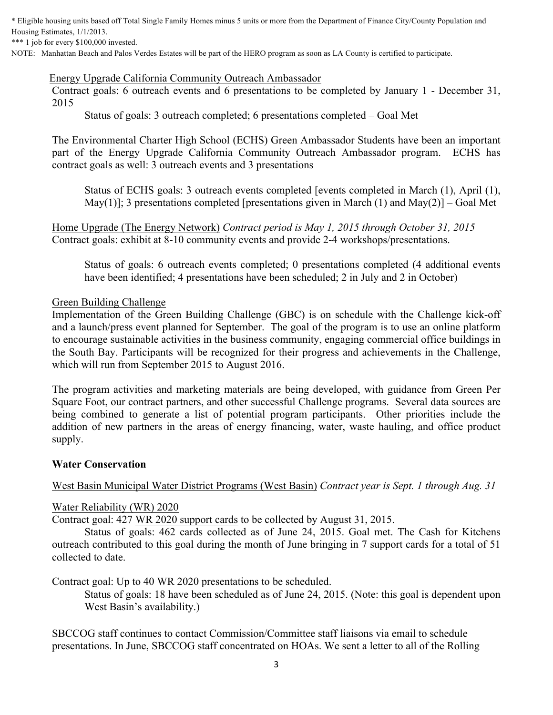\* Eligible housing units based off Total Single Family Homes minus 5 units or more from the Department of Finance City/County Population and Housing Estimates, 1/1/2013.

\*\*\* 1 job for every \$100,000 invested.

NOTE: Manhattan Beach and Palos Verdes Estates will be part of the HERO program as soon as LA County is certified to participate.

#### Energy Upgrade California Community Outreach Ambassador

Contract goals: 6 outreach events and 6 presentations to be completed by January 1 - December 31, 2015

Status of goals: 3 outreach completed; 6 presentations completed – Goal Met

The Environmental Charter High School (ECHS) Green Ambassador Students have been an important part of the Energy Upgrade California Community Outreach Ambassador program. ECHS has contract goals as well: 3 outreach events and 3 presentations

Status of ECHS goals: 3 outreach events completed [events completed in March (1), April (1), May(1)]; 3 presentations completed [presentations given in March (1) and May(2)] – Goal Met

Home Upgrade (The Energy Network) *Contract period is May 1, 2015 through October 31, 2015* Contract goals: exhibit at 8-10 community events and provide 2-4 workshops/presentations.

Status of goals: 6 outreach events completed; 0 presentations completed (4 additional events have been identified; 4 presentations have been scheduled; 2 in July and 2 in October)

#### Green Building Challenge

Implementation of the Green Building Challenge (GBC) is on schedule with the Challenge kick-off and a launch/press event planned for September. The goal of the program is to use an online platform to encourage sustainable activities in the business community, engaging commercial office buildings in the South Bay. Participants will be recognized for their progress and achievements in the Challenge, which will run from September 2015 to August 2016.

The program activities and marketing materials are being developed, with guidance from Green Per Square Foot, our contract partners, and other successful Challenge programs. Several data sources are being combined to generate a list of potential program participants. Other priorities include the addition of new partners in the areas of energy financing, water, waste hauling, and office product supply.

#### **Water Conservation**

West Basin Municipal Water District Programs (West Basin) *Contract year is Sept. 1 through Aug. 31*

#### Water Reliability (WR) 2020

Contract goal: 427 WR 2020 support cards to be collected by August 31, 2015.

Status of goals: 462 cards collected as of June 24, 2015. Goal met. The Cash for Kitchens outreach contributed to this goal during the month of June bringing in 7 support cards for a total of 51 collected to date.

Contract goal: Up to 40 WR 2020 presentations to be scheduled.

Status of goals: 18 have been scheduled as of June 24, 2015. (Note: this goal is dependent upon West Basin's availability.)

SBCCOG staff continues to contact Commission/Committee staff liaisons via email to schedule presentations. In June, SBCCOG staff concentrated on HOAs. We sent a letter to all of the Rolling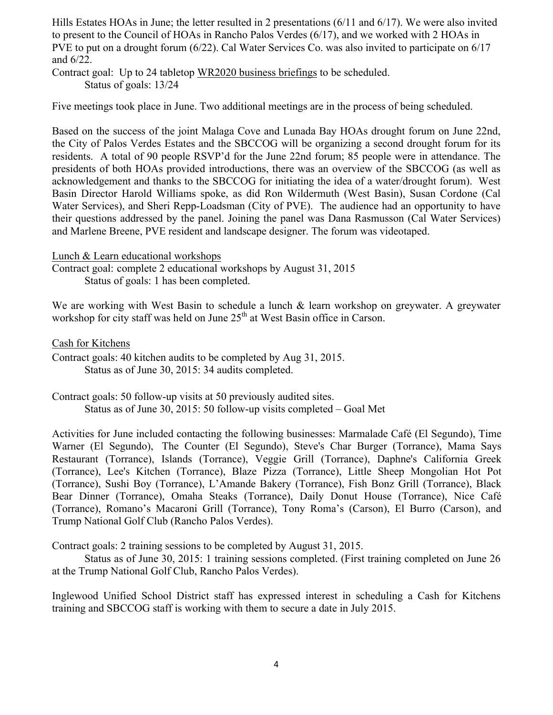Hills Estates HOAs in June; the letter resulted in 2 presentations (6/11 and 6/17). We were also invited to present to the Council of HOAs in Rancho Palos Verdes (6/17), and we worked with 2 HOAs in PVE to put on a drought forum (6/22). Cal Water Services Co. was also invited to participate on 6/17 and 6/22.

Contract goal: Up to 24 tabletop WR2020 business briefings to be scheduled. Status of goals: 13/24

Five meetings took place in June. Two additional meetings are in the process of being scheduled.

Based on the success of the joint Malaga Cove and Lunada Bay HOAs drought forum on June 22nd, the City of Palos Verdes Estates and the SBCCOG will be organizing a second drought forum for its residents. A total of 90 people RSVP'd for the June 22nd forum; 85 people were in attendance. The presidents of both HOAs provided introductions, there was an overview of the SBCCOG (as well as acknowledgement and thanks to the SBCCOG for initiating the idea of a water/drought forum). West Basin Director Harold Williams spoke, as did Ron Wildermuth (West Basin), Susan Cordone (Cal Water Services), and Sheri Repp-Loadsman (City of PVE). The audience had an opportunity to have their questions addressed by the panel. Joining the panel was Dana Rasmusson (Cal Water Services) and Marlene Breene, PVE resident and landscape designer. The forum was videotaped.

Lunch & Learn educational workshops

Contract goal: complete 2 educational workshops by August 31, 2015 Status of goals: 1 has been completed.

We are working with West Basin to schedule a lunch & learn workshop on greywater. A greywater workshop for city staff was held on June  $25<sup>th</sup>$  at West Basin office in Carson.

Cash for Kitchens

Contract goals: 40 kitchen audits to be completed by Aug 31, 2015. Status as of June 30, 2015: 34 audits completed.

Contract goals: 50 follow-up visits at 50 previously audited sites. Status as of June 30, 2015: 50 follow-up visits completed – Goal Met

Activities for June included contacting the following businesses: Marmalade Café (El Segundo), Time Warner (El Segundo), The Counter (El Segundo), Steve's Char Burger (Torrance), Mama Says Restaurant (Torrance), Islands (Torrance), Veggie Grill (Torrance), Daphne's California Greek (Torrance), Lee's Kitchen (Torrance), Blaze Pizza (Torrance), Little Sheep Mongolian Hot Pot (Torrance), Sushi Boy (Torrance), L'Amande Bakery (Torrance), Fish Bonz Grill (Torrance), Black Bear Dinner (Torrance), Omaha Steaks (Torrance), Daily Donut House (Torrance), Nice Café (Torrance), Romano's Macaroni Grill (Torrance), Tony Roma's (Carson), El Burro (Carson), and Trump National Golf Club (Rancho Palos Verdes).

Contract goals: 2 training sessions to be completed by August 31, 2015.

Status as of June 30, 2015: 1 training sessions completed. (First training completed on June 26 at the Trump National Golf Club, Rancho Palos Verdes).

Inglewood Unified School District staff has expressed interest in scheduling a Cash for Kitchens training and SBCCOG staff is working with them to secure a date in July 2015.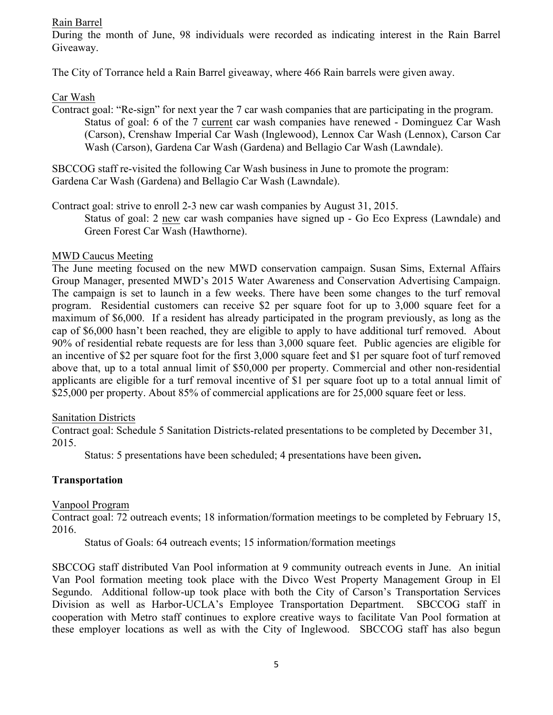#### Rain Barrel

During the month of June, 98 individuals were recorded as indicating interest in the Rain Barrel Giveaway.

The City of Torrance held a Rain Barrel giveaway, where 466 Rain barrels were given away.

#### Car Wash

Contract goal: "Re-sign" for next year the 7 car wash companies that are participating in the program. Status of goal: 6 of the 7 current car wash companies have renewed - Dominguez Car Wash (Carson), Crenshaw Imperial Car Wash (Inglewood), Lennox Car Wash (Lennox), Carson Car Wash (Carson), Gardena Car Wash (Gardena) and Bellagio Car Wash (Lawndale).

SBCCOG staff re-visited the following Car Wash business in June to promote the program: Gardena Car Wash (Gardena) and Bellagio Car Wash (Lawndale).

Contract goal: strive to enroll 2-3 new car wash companies by August 31, 2015.

Status of goal: 2 new car wash companies have signed up - Go Eco Express (Lawndale) and Green Forest Car Wash (Hawthorne).

#### MWD Caucus Meeting

The June meeting focused on the new MWD conservation campaign. Susan Sims, External Affairs Group Manager, presented MWD's 2015 Water Awareness and Conservation Advertising Campaign. The campaign is set to launch in a few weeks. There have been some changes to the turf removal program. Residential customers can receive \$2 per square foot for up to 3,000 square feet for a maximum of \$6,000. If a resident has already participated in the program previously, as long as the cap of \$6,000 hasn't been reached, they are eligible to apply to have additional turf removed. About 90% of residential rebate requests are for less than 3,000 square feet. Public agencies are eligible for an incentive of \$2 per square foot for the first 3,000 square feet and \$1 per square foot of turf removed above that, up to a total annual limit of \$50,000 per property. Commercial and other non-residential applicants are eligible for a turf removal incentive of \$1 per square foot up to a total annual limit of \$25,000 per property. About 85% of commercial applications are for 25,000 square feet or less.

#### Sanitation Districts

Contract goal: Schedule 5 Sanitation Districts-related presentations to be completed by December 31, 2015.

Status: 5 presentations have been scheduled; 4 presentations have been given**.** 

# **Transportation**

#### Vanpool Program

Contract goal: 72 outreach events; 18 information/formation meetings to be completed by February 15, 2016.

Status of Goals: 64 outreach events; 15 information/formation meetings

SBCCOG staff distributed Van Pool information at 9 community outreach events in June. An initial Van Pool formation meeting took place with the Divco West Property Management Group in El Segundo. Additional follow-up took place with both the City of Carson's Transportation Services Division as well as Harbor-UCLA's Employee Transportation Department. SBCCOG staff in cooperation with Metro staff continues to explore creative ways to facilitate Van Pool formation at these employer locations as well as with the City of Inglewood. SBCCOG staff has also begun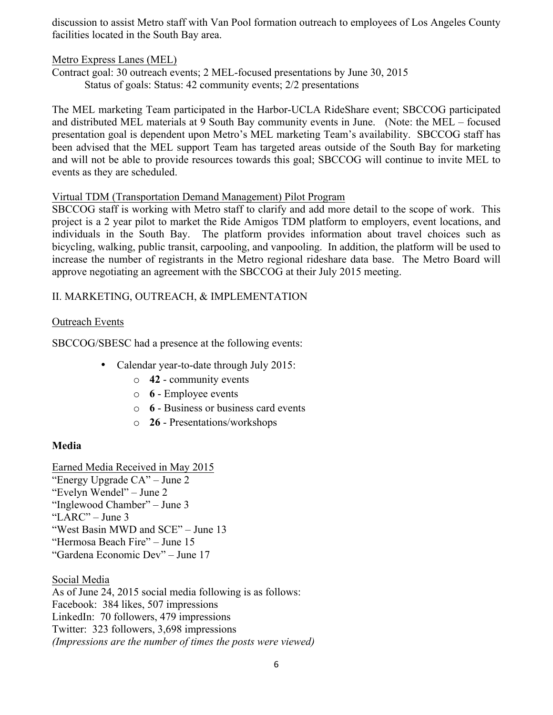discussion to assist Metro staff with Van Pool formation outreach to employees of Los Angeles County facilities located in the South Bay area.

Metro Express Lanes (MEL)

Contract goal: 30 outreach events; 2 MEL-focused presentations by June 30, 2015 Status of goals: Status: 42 community events; 2/2 presentations

The MEL marketing Team participated in the Harbor-UCLA RideShare event; SBCCOG participated and distributed MEL materials at 9 South Bay community events in June. (Note: the MEL – focused presentation goal is dependent upon Metro's MEL marketing Team's availability. SBCCOG staff has been advised that the MEL support Team has targeted areas outside of the South Bay for marketing and will not be able to provide resources towards this goal; SBCCOG will continue to invite MEL to events as they are scheduled.

# Virtual TDM (Transportation Demand Management) Pilot Program

SBCCOG staff is working with Metro staff to clarify and add more detail to the scope of work. This project is a 2 year pilot to market the Ride Amigos TDM platform to employers, event locations, and individuals in the South Bay. The platform provides information about travel choices such as bicycling, walking, public transit, carpooling, and vanpooling. In addition, the platform will be used to increase the number of registrants in the Metro regional rideshare data base. The Metro Board will approve negotiating an agreement with the SBCCOG at their July 2015 meeting.

# II. MARKETING, OUTREACH, & IMPLEMENTATION

# Outreach Events

SBCCOG/SBESC had a presence at the following events:

- Calendar year-to-date through July 2015:
	- o **42** community events
	- o **6** Employee events
	- o **6** Business or business card events
	- o **26** Presentations/workshops

# **Media**

Earned Media Received in May 2015 "Energy Upgrade CA" – June 2 "Evelyn Wendel" – June 2 "Inglewood Chamber" – June 3 "LARC" – June 3 "West Basin MWD and SCE" – June 13 "Hermosa Beach Fire" – June 15 "Gardena Economic Dev" – June 17

Social Media As of June 24, 2015 social media following is as follows: Facebook: 384 likes, 507 impressions LinkedIn: 70 followers, 479 impressions Twitter: 323 followers, 3,698 impressions *(Impressions are the number of times the posts were viewed)*